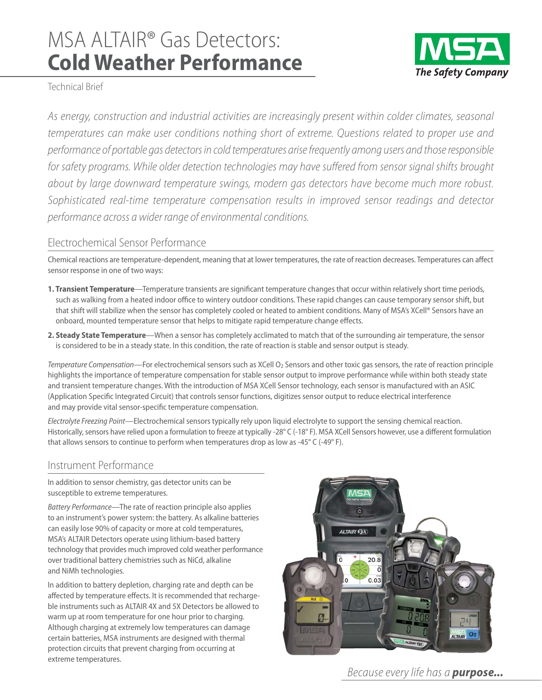# MSA ALTAIR® Gas Detectors: **Cold Weather Performance**



Technical Brief

As energy, construction and industrial activities are increasingly present within colder climates, seasonal temperatures can make user conditions nothing short of extreme. Questions related to proper use and performance of portable gas detectors in cold temperatures arise frequently among users and those responsible for safety programs. While older detection technologies may have suffered from sensor signal shifts brought about by large downward temperature swings, modern gas detectors have become much more robust. Sophisticated real-time temperature compensation results in improved sensor readings and detector performance across a wider range of environmental conditions.

## Electrochemical Sensor Performance

endentical reactions are temperature-dependent, meaning that at lower temperatures, the rate of reaction decreases. Temperatures can affect<br>Chemical reactions are temperature-dependent, meaning that at lower temperatures, sensor response in one of two ways:

- **1. Transient Temperature**—Temperature transients are significant temperature changes that occur within relatively short time periods, such as walking from a heated indoor office to wintery outdoor conditions. These rapid changes can cause temporary sensor shift, but that shift will stabilize when the sensor has completely cooled or heated to ambient conditions. Many of MSA's XCell® Sensors have an onboard, mounted temperature sensor that helps to mitigate rapid temperature change effects.
- **2. Steady State Temperature**—When a sensor has completely acclimated to match that of the surrounding air temperature, the sensor is considered to be in a steady state. In this condition, the rate of reaction is stable and sensor output is steady.

*Temperature Compensation*—For electrochemical sensors such as XCell O<sub>2</sub> Sensors and other toxic gas sensors, the rate of reaction principle highlights the importance of temperature compensation for stable sensor output to improve performance while within both steady state and transient temperature changes. With the introduction of MSA XCell Sensor technology, each sensor is manufactured with an ASIC (Application Specific Integrated Circuit) that controls sensor functions, digitizes sensor output to reduce electrical interference and may provide vital sensor-specific temperature compensation.

*Electrolyte Freezing Point*—Electrochemical sensors typically rely upon liquid electrolyte to support the sensing chemical reaction. Historically, sensors have relied upon a formulation to freeze at typically -28° C (-18° F). MSA XCell Sensors however, use a different formulation that allows sensors to continue to perform when temperatures drop as low as -45° C (-49° F).

### Instrument Performance

Instrument Performance<br>In addition to sensor chemistry, gas detector units can be susceptible to extreme temperatures.

*Battery Performance*—The rate of reaction principle also applies to an instrument's power system: the battery. As alkaline batteries can easily lose 90% of capacity or more at cold temperatures, MSA's ALTAIR Detectors operate using lithium-based battery technology that provides much improved cold weather performance over traditional battery chemistries such as NiCd, alkaline and NiMh technologies.

In addition to battery depletion, charging rate and depth can be affected by temperature effects. It is recommended that rechargeble instruments such as ALTAIR 4X and 5X Detectors be allowed to warm up at room temperature for one hour prior to charging. Although charging at extremely low temperatures can damage certain batteries, MSA instruments are designed with thermal protection circuits that prevent charging from occurring at extreme temperatures.



Because every life has a *purpose...*